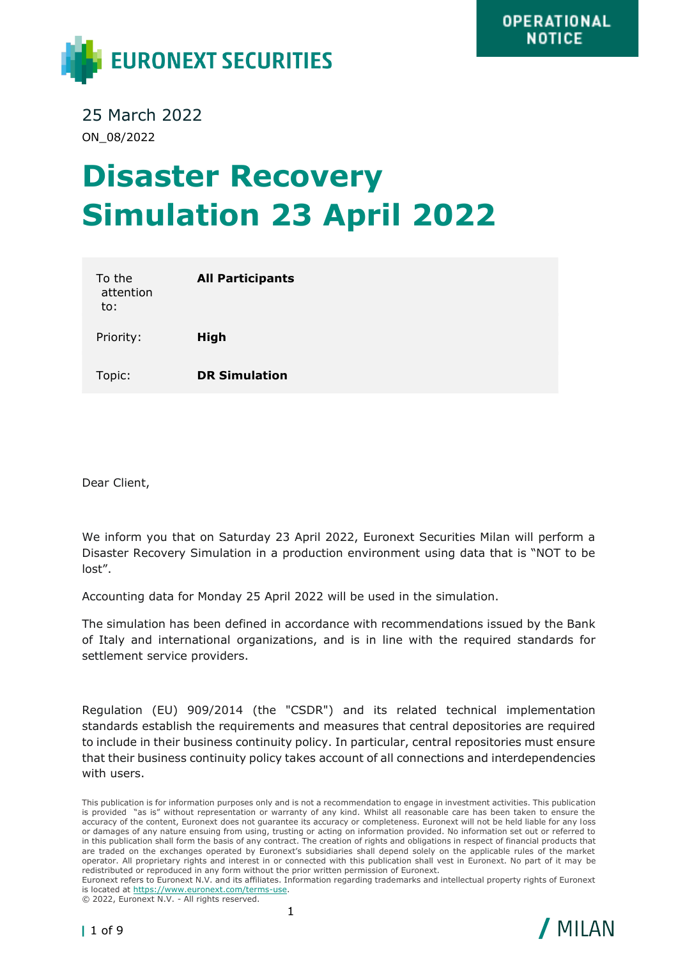

25 March 2022 ON\_08/2022

## **Disaster Recovery Simulation 23 April 2022**

| To the<br>attention<br>to: | <b>All Participants</b> |
|----------------------------|-------------------------|
| Priority:                  | <b>High</b>             |
| Topic:                     | <b>DR Simulation</b>    |

Dear Client,

We inform you that on Saturday 23 April 2022, Euronext Securities Milan will perform a Disaster Recovery Simulation in a production environment using data that is "NOT to be lost".

Accounting data for Monday 25 April 2022 will be used in the simulation.

The simulation has been defined in accordance with recommendations issued by the Bank of Italy and international organizations, and is in line with the required standards for settlement service providers.

Regulation (EU) 909/2014 (the "CSDR") and its related technical implementation standards establish the requirements and measures that central depositories are required to include in their business continuity policy. In particular, central repositories must ensure that their business continuity policy takes account of all connections and interdependencies with users.

Euronext refers to Euronext N.V. and its affiliates. Information regarding trademarks and intellectual property rights of Euronext is located at [https://www.euronext.com/terms-use.](https://www.euronext.com/terms-use)

© 2022, Euronext N.V. - All rights reserved.



This publication is for information purposes only and is not a recommendation to engage in investment activities. This publication is provided "as is" without representation or warranty of any kind. Whilst all reasonable care has been taken to ensure the accuracy of the content, Euronext does not guarantee its accuracy or completeness. Euronext will not be held liable for any loss or damages of any nature ensuing from using, trusting or acting on information provided. No information set out or referred to in this publication shall form the basis of any contract. The creation of rights and obligations in respect of financial products that are traded on the exchanges operated by Euronext's subsidiaries shall depend solely on the applicable rules of the market operator. All proprietary rights and interest in or connected with this publication shall vest in Euronext. No part of it may be redistributed or reproduced in any form without the prior written permission of Euronext.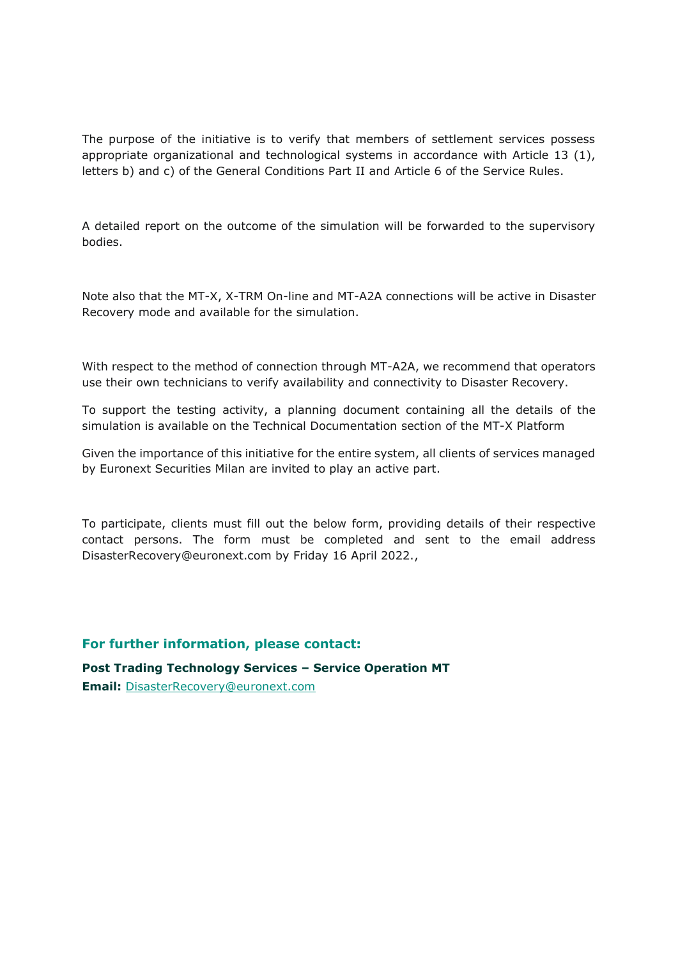The purpose of the initiative is to verify that members of settlement services possess appropriate organizational and technological systems in accordance with Article 13 (1), letters b) and c) of the General Conditions Part II and Article 6 of the Service Rules.

A detailed report on the outcome of the simulation will be forwarded to the supervisory bodies.

Note also that the MT-X, X-TRM On-line and MT-A2A connections will be active in Disaster Recovery mode and available for the simulation.

With respect to the method of connection through MT-A2A, we recommend that operators use their own technicians to verify availability and connectivity to Disaster Recovery.

To support the testing activity, a planning document containing all the details of the simulation is available on the Technical Documentation section of the MT-X Platform

Given the importance of this initiative for the entire system, all clients of services managed by Euronext Securities Milan are invited to play an active part.

To participate, clients must fill out the below form, providing details of their respective contact persons. The form must be completed and sent to the email address DisasterRecovery@euronext.com by Friday 16 April 2022.,

**For further information, please contact:**

**Post Trading Technology Services – Service Operation MT Email:** [DisasterRecovery@euronext.com](mailto:DisasterRecovery@euronext.com)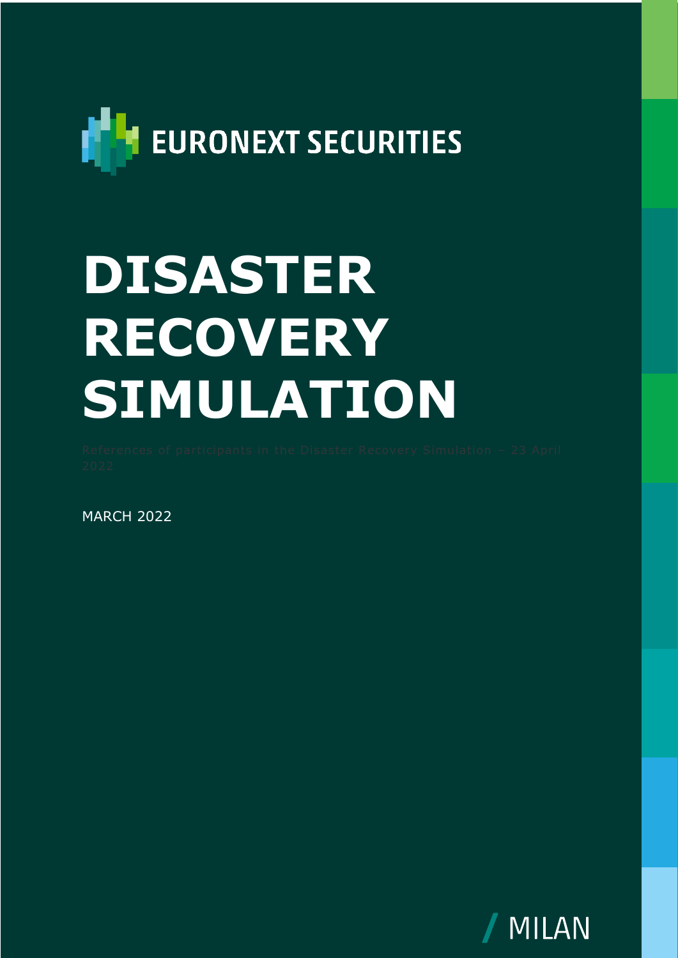

## **DISASTER RECOVERY SIMULATION**

**MARCH 2022** 

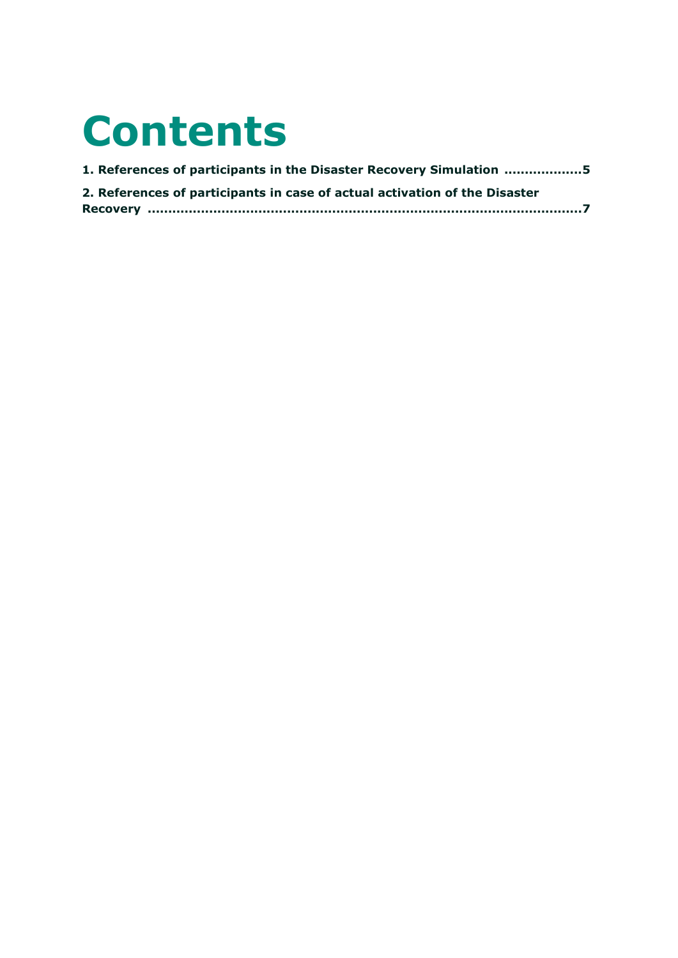## **Contents**

| 1. References of participants in the Disaster Recovery Simulation 5        |
|----------------------------------------------------------------------------|
| 2. References of participants in case of actual activation of the Disaster |
|                                                                            |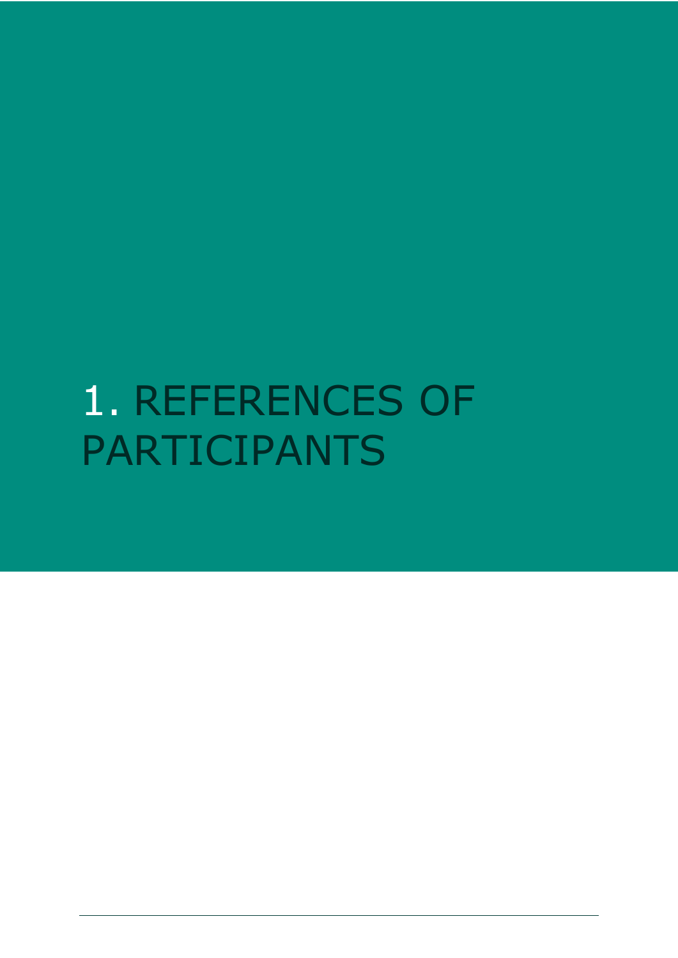<span id="page-4-0"></span>1. REFERENCES OF PARTICIPANTS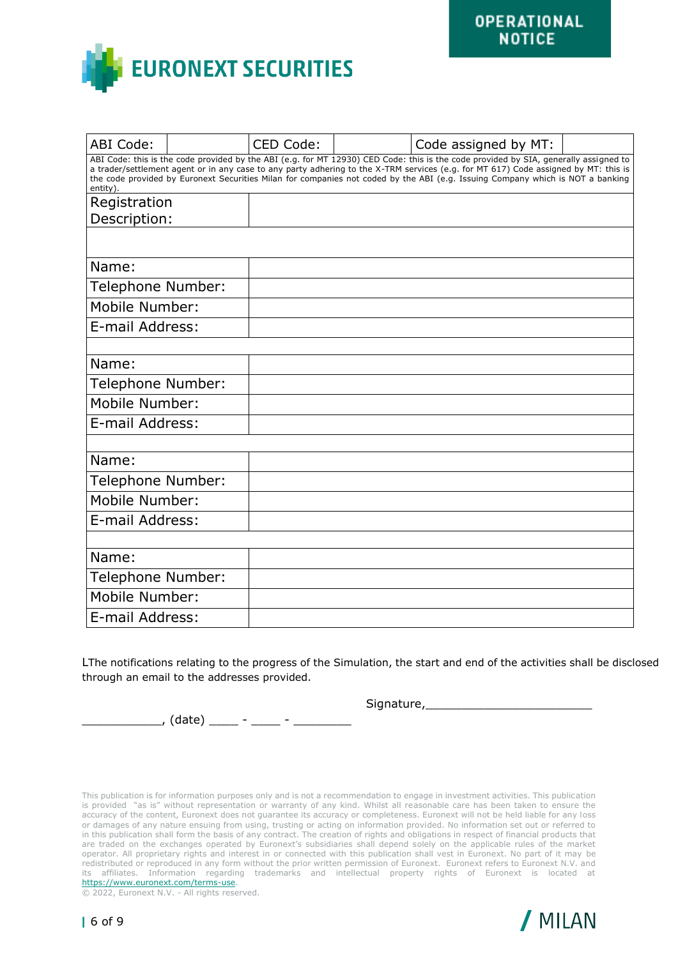

| ABI Code:                                                                                                                                                                                                                                                                                                                                                                                                                 |  | CED Code: |  | Code assigned by MT: |  |  |
|---------------------------------------------------------------------------------------------------------------------------------------------------------------------------------------------------------------------------------------------------------------------------------------------------------------------------------------------------------------------------------------------------------------------------|--|-----------|--|----------------------|--|--|
| ABI Code: this is the code provided by the ABI (e.g. for MT 12930) CED Code: this is the code provided by SIA, generally assigned to<br>a trader/settlement agent or in any case to any party adhering to the X-TRM services (e.g. for MT 617) Code assigned by MT: this is<br>the code provided by Euronext Securities Milan for companies not coded by the ABI (e.g. Issuing Company which is NOT a banking<br>entity). |  |           |  |                      |  |  |
| Registration                                                                                                                                                                                                                                                                                                                                                                                                              |  |           |  |                      |  |  |
| Description:                                                                                                                                                                                                                                                                                                                                                                                                              |  |           |  |                      |  |  |
|                                                                                                                                                                                                                                                                                                                                                                                                                           |  |           |  |                      |  |  |
| Name:                                                                                                                                                                                                                                                                                                                                                                                                                     |  |           |  |                      |  |  |
| Telephone Number:                                                                                                                                                                                                                                                                                                                                                                                                         |  |           |  |                      |  |  |
| Mobile Number:                                                                                                                                                                                                                                                                                                                                                                                                            |  |           |  |                      |  |  |
| E-mail Address:                                                                                                                                                                                                                                                                                                                                                                                                           |  |           |  |                      |  |  |
|                                                                                                                                                                                                                                                                                                                                                                                                                           |  |           |  |                      |  |  |
| Name:                                                                                                                                                                                                                                                                                                                                                                                                                     |  |           |  |                      |  |  |
| Telephone Number:                                                                                                                                                                                                                                                                                                                                                                                                         |  |           |  |                      |  |  |
| Mobile Number:                                                                                                                                                                                                                                                                                                                                                                                                            |  |           |  |                      |  |  |
| E-mail Address:                                                                                                                                                                                                                                                                                                                                                                                                           |  |           |  |                      |  |  |
|                                                                                                                                                                                                                                                                                                                                                                                                                           |  |           |  |                      |  |  |
| Name:                                                                                                                                                                                                                                                                                                                                                                                                                     |  |           |  |                      |  |  |
| Telephone Number:                                                                                                                                                                                                                                                                                                                                                                                                         |  |           |  |                      |  |  |
| Mobile Number:                                                                                                                                                                                                                                                                                                                                                                                                            |  |           |  |                      |  |  |
| E-mail Address:                                                                                                                                                                                                                                                                                                                                                                                                           |  |           |  |                      |  |  |
|                                                                                                                                                                                                                                                                                                                                                                                                                           |  |           |  |                      |  |  |
| Name:                                                                                                                                                                                                                                                                                                                                                                                                                     |  |           |  |                      |  |  |
| Telephone Number:                                                                                                                                                                                                                                                                                                                                                                                                         |  |           |  |                      |  |  |
| Mobile Number:                                                                                                                                                                                                                                                                                                                                                                                                            |  |           |  |                      |  |  |
| E-mail Address:                                                                                                                                                                                                                                                                                                                                                                                                           |  |           |  |                      |  |  |

LThe notifications relating to the progress of the Simulation, the start and end of the activities shall be disclosed through an email to the addresses provided.

Signature, etc.

\_\_\_\_\_\_\_\_\_\_\_, (date) \_\_\_\_ - \_\_\_\_ - \_\_\_\_\_\_\_\_

This publication is for information purposes only and is not a recommendation to engage in investment activities. This publication is provided "as is" without representation or warranty of any kind. Whilst all reasonable care has been taken to ensure the accuracy of the content, Euronext does not guarantee its accuracy or completeness. Euronext will not be held liable for any loss or damages of any nature ensuing from using, trusting or acting on information provided. No information set out or referred to in this publication shall form the basis of any contract. The creation of rights and obligations in respect of financial products that are traded on the exchanges operated by Euronext's subsidiaries shall depend solely on the applicable rules of the market operator. All proprietary rights and interest in or connected with this publication shall vest in Euronext. No part of it may be redistributed or reproduced in any form without the prior written permission of Euronext. Euronext refers to Euronext N.V. and its affiliates. Information regarding trademarks and intellectual property rights of Euronext is located at [https://www.euronext.com/terms-use.](https://www.euronext.com/terms-use)

© 2022, Euronext N.V. - All rights reserved.

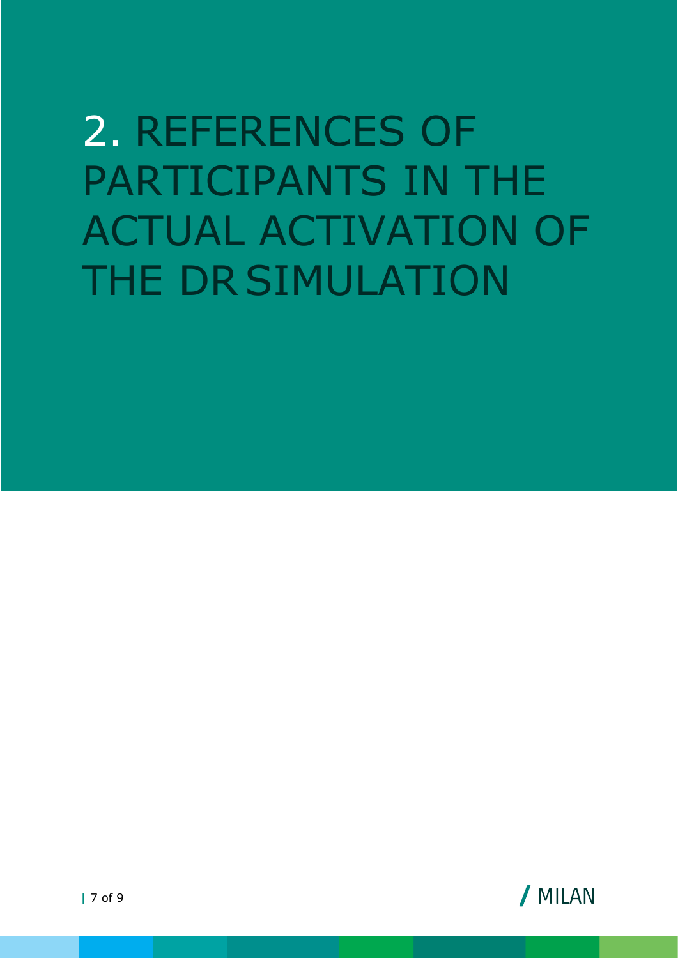## <span id="page-6-0"></span>2. REFERENCES OF PARTICIPANTS IN THE ACTUAL ACTIVATION OF THE DRSIMULATION

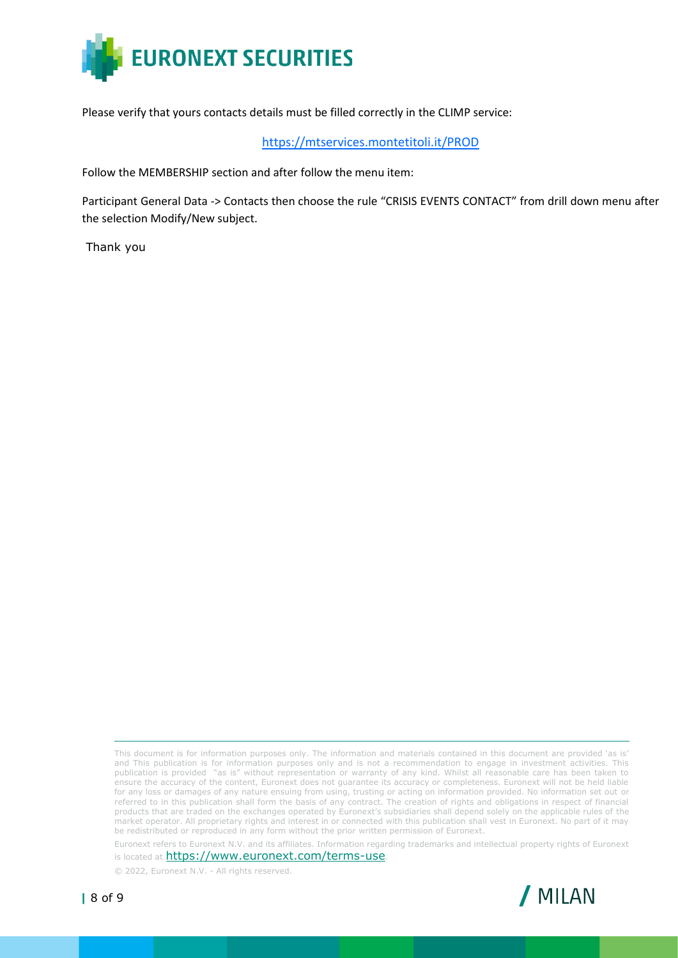

Please verify that yours contacts details must be filled correctly in the CLIMP service:

<https://mtservices.montetitoli.it/PROD>

Follow the MEMBERSHIP section and after follow the menu item:

Participant General Data -> Contacts then choose the rule "CRISIS EVENTS CONTACT" from drill down menu after the selection Modify/New subject.

Thank you

This document is for information purposes only. The information and materials contained in this document are provided 'as is' and This publication is for information purposes only and is not a recommendation to engage in investment activities. This publication is provided "as is" without representation or warranty of any kind. Whilst all reasonable care has been taken to ensure the accuracy of the content, Euronext does not guarantee its accuracy or completeness. Euronext will not be held liable for any loss or damages of any nature ensuing from using, trusting or acting on information provided. No information set out or referred to in this publication shall form the basis of any contract. The creation of rights and obligations in respect of financial products that are traded on the exchanges operated by Euronext's subsidiaries shall depend solely on the applicable rules of the market operator. All proprietary rights and interest in or connected with this publication shall vest in Euronext. No part of it may be redistributed or reproduced in any form without the prior written permission of Euronext.

Euronext refers to Euronext N.V. and its affiliates. Information regarding trademarks and intellectual property rights of Euronext is located at https://www.euronext.com/terms-use.

© 2022, Euronext N.V. - All rights reserved.